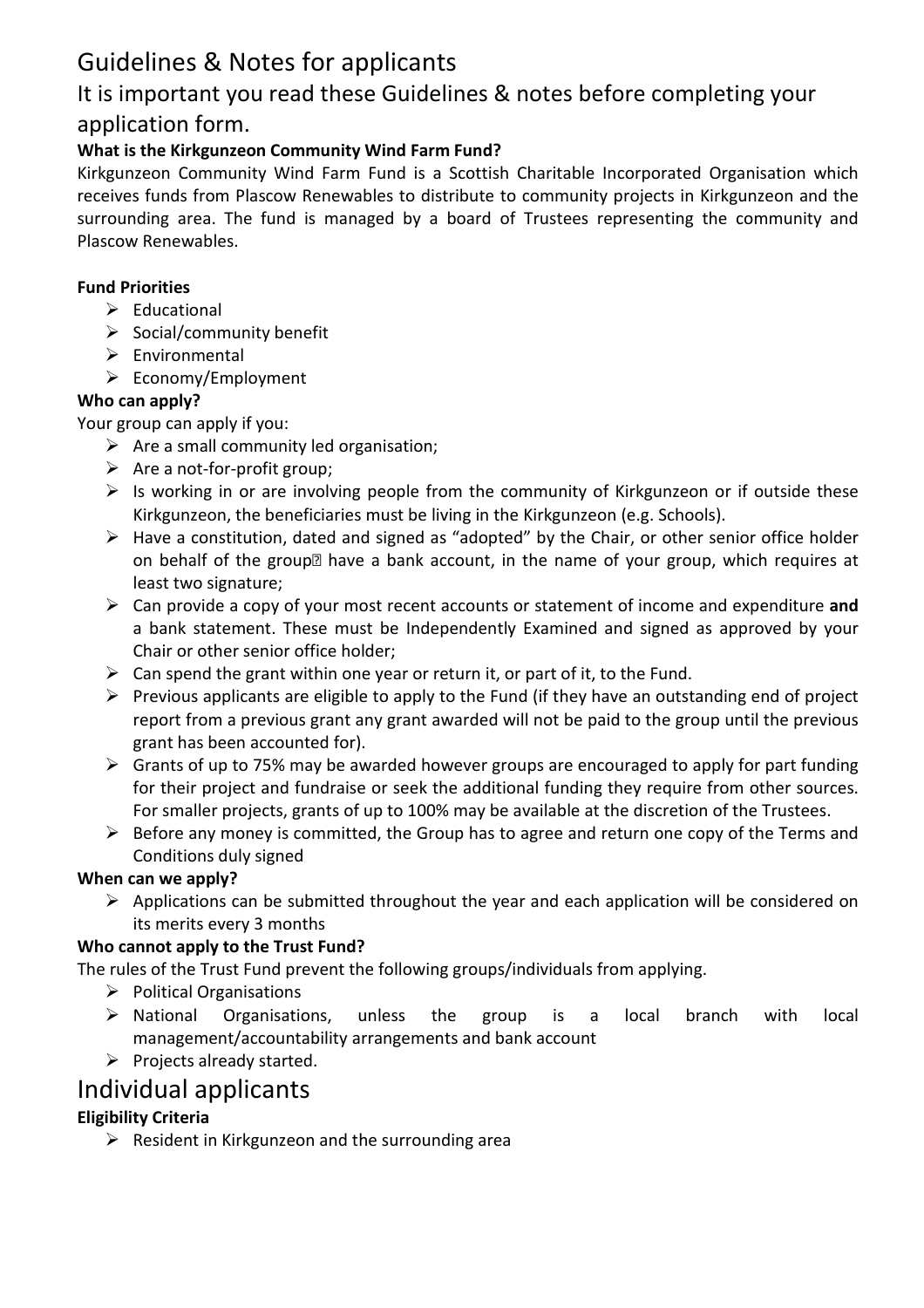# Guidelines & Notes for applicants

# It is important you read these Guidelines & notes before completing your application form.

### **What is the Kirkgunzeon Community Wind Farm Fund?**

Kirkgunzeon Community Wind Farm Fund is a Scottish Charitable Incorporated Organisation which receives funds from Plascow Renewables to distribute to community projects in Kirkgunzeon and the surrounding area. The fund is managed by a board of Trustees representing the community and Plascow Renewables.

#### **Fund Priorities**

- $\triangleright$  Educational
- $\triangleright$  Social/community benefit
- $\triangleright$  Environmental
- $\triangleright$  Economy/Employment

#### **Who can apply?**

Your group can apply if you:

- $\triangleright$  Are a small community led organisation;
- $\triangleright$  Are a not-for-profit group;
- $\triangleright$  Is working in or are involving people from the community of Kirkgunzeon or if outside these Kirkgunzeon, the beneficiaries must be living in the Kirkgunzeon (e.g. Schools).
- $\triangleright$  Have a constitution, dated and signed as "adopted" by the Chair, or other senior office holder on behalf of the group<sup>M</sup> have a bank account, in the name of your group, which requires at least two signature;
- Can provide a copy of your most recent accounts or statement of income and expenditure **and**  a bank statement. These must be Independently Examined and signed as approved by your Chair or other senior office holder;
- $\triangleright$  Can spend the grant within one year or return it, or part of it, to the Fund.
- $\triangleright$  Previous applicants are eligible to apply to the Fund (if they have an outstanding end of project report from a previous grant any grant awarded will not be paid to the group until the previous grant has been accounted for).
- $\triangleright$  Grants of up to 75% may be awarded however groups are encouraged to apply for part funding for their project and fundraise or seek the additional funding they require from other sources. For smaller projects, grants of up to 100% may be available at the discretion of the Trustees.
- $\triangleright$  Before any money is committed, the Group has to agree and return one copy of the Terms and Conditions duly signed

#### **When can we apply?**

 $\triangleright$  Applications can be submitted throughout the year and each application will be considered on its merits every 3 months

#### **Who cannot apply to the Trust Fund?**

The rules of the Trust Fund prevent the following groups/individuals from applying.

- $\triangleright$  Political Organisations
- $\triangleright$  National Organisations, unless the group is a local branch with local management/accountability arrangements and bank account
- $\triangleright$  Projects already started.

# Individual applicants

### **Eligibility Criteria**

 $\triangleright$  Resident in Kirkgunzeon and the surrounding area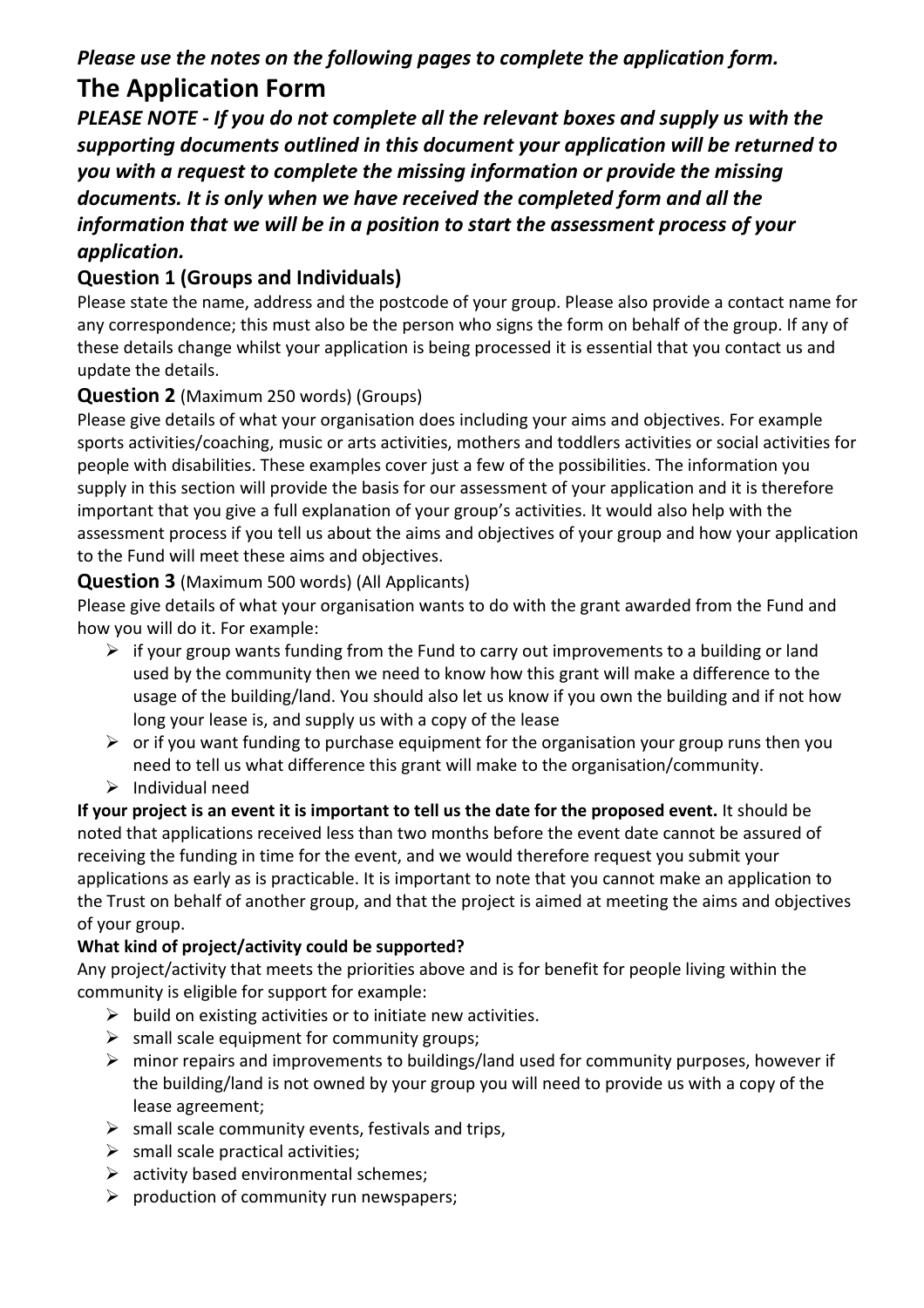# *Please use the notes on the following pages to complete the application form.*

# **The Application Form**

*PLEASE NOTE - If you do not complete all the relevant boxes and supply us with the supporting documents outlined in this document your application will be returned to you with a request to complete the missing information or provide the missing documents. It is only when we have received the completed form and all the information that we will be in a position to start the assessment process of your application.* 

# **Question 1 (Groups and Individuals)**

Please state the name, address and the postcode of your group. Please also provide a contact name for any correspondence; this must also be the person who signs the form on behalf of the group. If any of these details change whilst your application is being processed it is essential that you contact us and update the details.

## **Question 2** (Maximum 250 words) (Groups)

Please give details of what your organisation does including your aims and objectives. For example sports activities/coaching, music or arts activities, mothers and toddlers activities or social activities for people with disabilities. These examples cover just a few of the possibilities. The information you supply in this section will provide the basis for our assessment of your application and it is therefore important that you give a full explanation of your group's activities. It would also help with the assessment process if you tell us about the aims and objectives of your group and how your application to the Fund will meet these aims and objectives.

### **Question 3** (Maximum 500 words) (All Applicants)

Please give details of what your organisation wants to do with the grant awarded from the Fund and how you will do it. For example:

- $\triangleright$  if your group wants funding from the Fund to carry out improvements to a building or land used by the community then we need to know how this grant will make a difference to the usage of the building/land. You should also let us know if you own the building and if not how long your lease is, and supply us with a copy of the lease
- $\triangleright$  or if you want funding to purchase equipment for the organisation your group runs then you need to tell us what difference this grant will make to the organisation/community.
- $\triangleright$  Individual need

**If your project is an event it is important to tell us the date for the proposed event.** It should be noted that applications received less than two months before the event date cannot be assured of receiving the funding in time for the event, and we would therefore request you submit your applications as early as is practicable. It is important to note that you cannot make an application to the Trust on behalf of another group, and that the project is aimed at meeting the aims and objectives of your group.

### **What kind of project/activity could be supported?**

Any project/activity that meets the priorities above and is for benefit for people living within the community is eligible for support for example:

- $\triangleright$  build on existing activities or to initiate new activities.
- $\triangleright$  small scale equipment for community groups;
- $\triangleright$  minor repairs and improvements to buildings/land used for community purposes, however if the building/land is not owned by your group you will need to provide us with a copy of the lease agreement;
- $\triangleright$  small scale community events, festivals and trips,
- $\triangleright$  small scale practical activities;
- $\triangleright$  activity based environmental schemes;
- $\triangleright$  production of community run newspapers;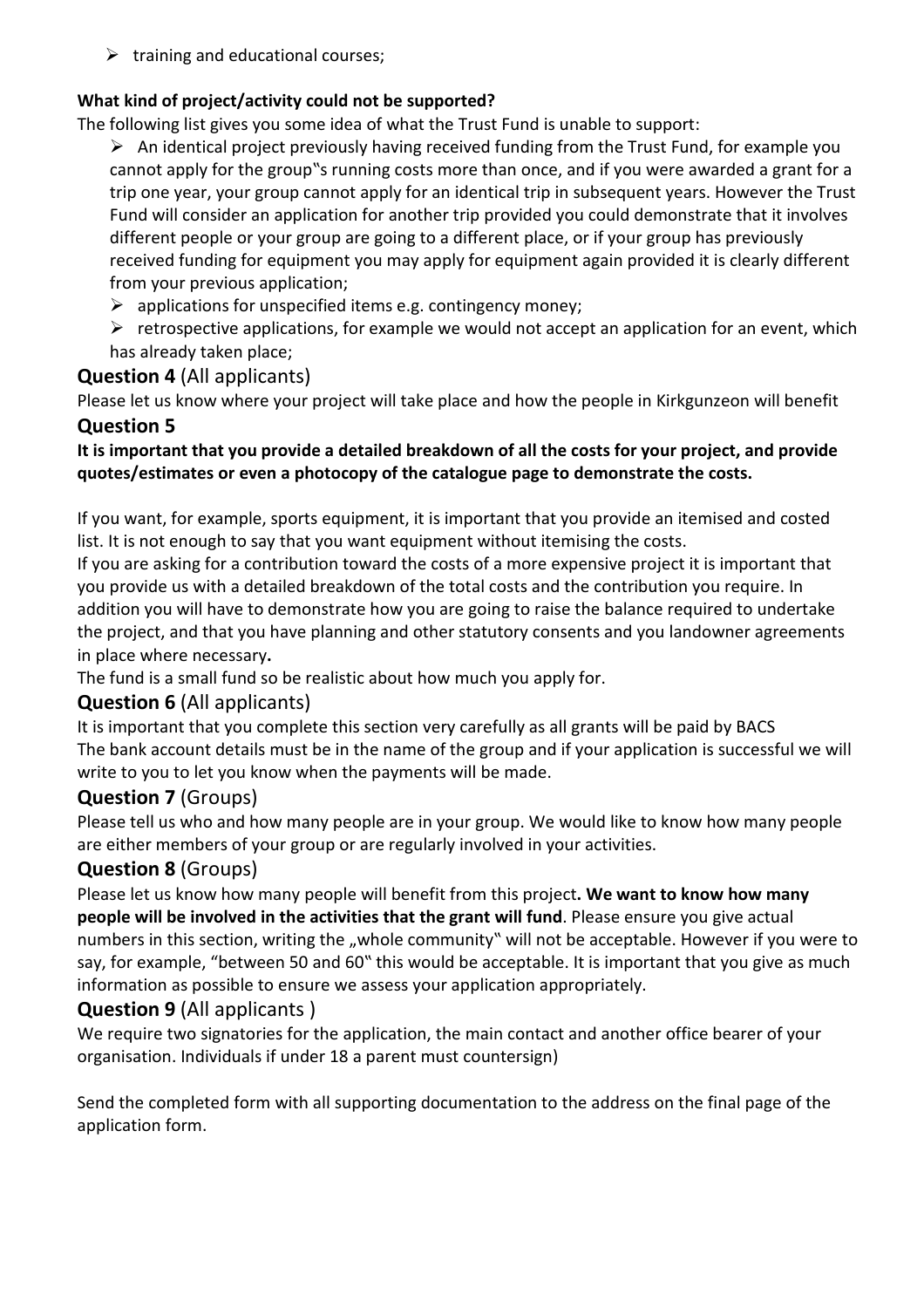$\triangleright$  training and educational courses;

#### **What kind of project/activity could not be supported?**

The following list gives you some idea of what the Trust Fund is unable to support:

- $\triangleright$  An identical project previously having received funding from the Trust Fund, for example you cannot apply for the group"s running costs more than once, and if you were awarded a grant for a trip one year, your group cannot apply for an identical trip in subsequent years. However the Trust Fund will consider an application for another trip provided you could demonstrate that it involves different people or your group are going to a different place, or if your group has previously received funding for equipment you may apply for equipment again provided it is clearly different from your previous application;
- $\triangleright$  applications for unspecified items e.g. contingency money;
- $\triangleright$  retrospective applications, for example we would not accept an application for an event, which has already taken place;

### **Question 4** (All applicants)

Please let us know where your project will take place and how the people in Kirkgunzeon will benefit

## **Question 5**

#### **It is important that you provide a detailed breakdown of all the costs for your project, and provide quotes/estimates or even a photocopy of the catalogue page to demonstrate the costs.**

If you want, for example, sports equipment, it is important that you provide an itemised and costed list. It is not enough to say that you want equipment without itemising the costs.

If you are asking for a contribution toward the costs of a more expensive project it is important that you provide us with a detailed breakdown of the total costs and the contribution you require. In addition you will have to demonstrate how you are going to raise the balance required to undertake the project, and that you have planning and other statutory consents and you landowner agreements in place where necessary**.**

The fund is a small fund so be realistic about how much you apply for.

### **Question 6** (All applicants)

It is important that you complete this section very carefully as all grants will be paid by BACS The bank account details must be in the name of the group and if your application is successful we will write to you to let you know when the payments will be made.

### **Question 7** (Groups)

Please tell us who and how many people are in your group. We would like to know how many people are either members of your group or are regularly involved in your activities.

### **Question 8** (Groups)

Please let us know how many people will benefit from this project**. We want to know how many people will be involved in the activities that the grant will fund**. Please ensure you give actual numbers in this section, writing the "whole community" will not be acceptable. However if you were to say, for example, "between 50 and 60" this would be acceptable. It is important that you give as much information as possible to ensure we assess your application appropriately.

### **Question 9** (All applicants )

We require two signatories for the application, the main contact and another office bearer of your organisation. Individuals if under 18 a parent must countersign)

Send the completed form with all supporting documentation to the address on the final page of the application form.